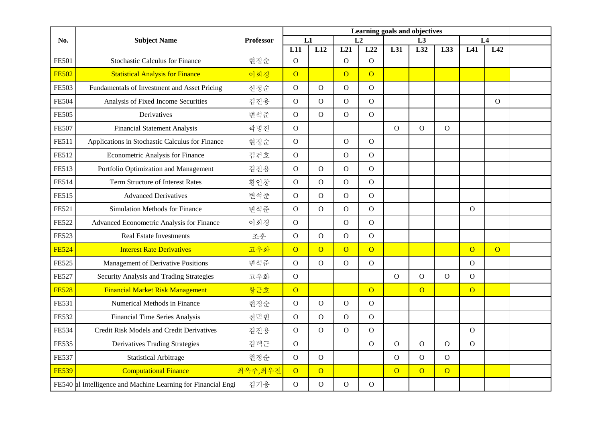|              | <b>Subject Name</b>                                           | <b>Professor</b> | Learning goals and objectives |                  |                |                |                  |                |                |                |              |  |
|--------------|---------------------------------------------------------------|------------------|-------------------------------|------------------|----------------|----------------|------------------|----------------|----------------|----------------|--------------|--|
| No.          |                                                               |                  | L1<br>L2                      |                  |                | L3             |                  |                | L4             |                |              |  |
|              |                                                               |                  | L11                           | $\overline{L12}$ | L21            | L22            | $\overline{L31}$ | L32            | L33            | L41            | L42          |  |
| <b>FE501</b> | <b>Stochastic Calculus for Finance</b>                        | 현정순              | $\mathbf{O}$                  |                  | $\mathbf{O}$   | $\overline{O}$ |                  |                |                |                |              |  |
| <b>FE502</b> | <b>Statistical Analysis for Finance</b>                       | 이회경              | $\overline{O}$                |                  | $\overline{O}$ | $\overline{O}$ |                  |                |                |                |              |  |
| <b>FE503</b> | Fundamentals of Investment and Asset Pricing                  | 신정순              | $\mathbf{O}$                  | $\mathbf O$      | $\mathbf O$    | $\mathbf O$    |                  |                |                |                |              |  |
| <b>FE504</b> | Analysis of Fixed Income Securities                           | 김진용              | $\overline{O}$                | $\overline{O}$   | $\mathbf O$    | $\mathbf O$    |                  |                |                |                | $\mathbf{O}$ |  |
| <b>FE505</b> | Derivatives                                                   | 변석준              | $\overline{O}$                | $\mathbf O$      | $\mathbf O$    | $\mathbf{O}$   |                  |                |                |                |              |  |
| <b>FE507</b> | <b>Financial Statement Analysis</b>                           | 곽병진              | $\mathbf{O}$                  |                  |                |                | $\mathbf{O}$     | $\mathbf{O}$   | $\overline{O}$ |                |              |  |
| FE511        | Applications in Stochastic Calculus for Finance               | 현정순              | $\mathbf{O}$                  |                  | $\mathbf{O}$   | $\Omega$       |                  |                |                |                |              |  |
| FE512        | Econometric Analysis for Finance                              | 김건호              | ${\rm O}$                     |                  | ${\rm O}$      | $\mathbf O$    |                  |                |                |                |              |  |
| FE513        | Portfolio Optimization and Management                         | 김진용              | $\mathbf{O}$                  | $\overline{O}$   | $\mathbf O$    | $\mathbf{O}$   |                  |                |                |                |              |  |
| FE514        | <b>Term Structure of Interest Rates</b>                       | 황인창              | $\overline{O}$                | $\mathbf O$      | $\overline{O}$ | $\mathbf{O}$   |                  |                |                |                |              |  |
| <b>FE515</b> | <b>Advanced Derivatives</b>                                   | 변석준              | $\mathbf{O}$                  | $\mathbf O$      | $\mathbf{O}$   | $\overline{O}$ |                  |                |                |                |              |  |
| FE521        | <b>Simulation Methods for Finance</b>                         | 변석준              | $\mathbf O$                   | $\mathbf{O}$     | $\mathbf O$    | $\mathbf O$    |                  |                |                | $\mathbf{O}$   |              |  |
| <b>FE522</b> | Advanced Econometric Analysis for Finance                     | 이회경              | $\mathbf O$                   |                  | $\mathbf O$    | $\mathbf O$    |                  |                |                |                |              |  |
| <b>FE523</b> | <b>Real Estate Investments</b>                                | 조훈               | $\mathbf O$                   | $\overline{O}$   | $\overline{O}$ | $\overline{O}$ |                  |                |                |                |              |  |
| <b>FE524</b> | <b>Interest Rate Derivatives</b>                              | 고우화              | $\overline{O}$                | $\overline{O}$   | $\overline{O}$ | $\overline{O}$ |                  |                |                | $\overline{O}$ | $\Omega$     |  |
| <b>FE525</b> | Management of Derivative Positions                            | 변석준              | $\mathbf{O}$                  | $\mathbf{O}$     | $\mathbf{O}$   | $\mathbf{O}$   |                  |                |                | $\mathbf{O}$   |              |  |
| <b>FE527</b> | Security Analysis and Trading Strategies                      | 고우화              | $\mathbf{O}$                  |                  |                |                | $\Omega$         | $\Omega$       | $\Omega$       | $\Omega$       |              |  |
| <b>FE528</b> | <b>Financial Market Risk Management</b>                       | 황근호              | $\overline{O}$                |                  |                | $\overline{O}$ |                  | $\overline{O}$ |                | $\overline{O}$ |              |  |
| FE531        | Numerical Methods in Finance                                  | 현정순              | $\mathbf{O}$                  | $\mathbf O$      | $\mathbf{O}$   | $\mathbf{O}$   |                  |                |                |                |              |  |
| FE532        | Financial Time Series Analysis                                | 전덕빈              | $\overline{O}$                | $\overline{O}$   | $\mathbf{O}$   | $\mathbf{O}$   |                  |                |                |                |              |  |
| FE534        | Credit Risk Models and Credit Derivatives                     | 김진용              | $\mathbf{O}$                  | $\mathbf{O}$     | $\mathbf{O}$   | $\mathbf{O}$   |                  |                |                | $\mathbf{O}$   |              |  |
| <b>FE535</b> | <b>Derivatives Trading Strategies</b>                         | 김택근              | $\mathbf{O}$                  |                  |                | $\mathbf O$    | $\overline{O}$   | $\overline{O}$ | $\overline{O}$ | $\mathbf O$    |              |  |
| <b>FE537</b> | <b>Statistical Arbitrage</b>                                  | 현정순              | $\mathbf{O}$                  | $\mathbf O$      |                |                | $\mathbf{O}$     | $\mathbf{O}$   | $\overline{O}$ |                |              |  |
| <b>FE539</b> | <b>Computational Finance</b>                                  | 최옥주,최우진          | $\overline{O}$                | $\overline{O}$   |                |                | $\overline{O}$   | $\overline{O}$ | $\overline{O}$ |                |              |  |
|              | FE540 al Intelligence and Machine Learning for Financial Engi | 김기응              | $\mathbf{O}$                  | $\mathbf O$      | $\mathbf{O}$   | $\mathbf{O}$   |                  |                |                |                |              |  |